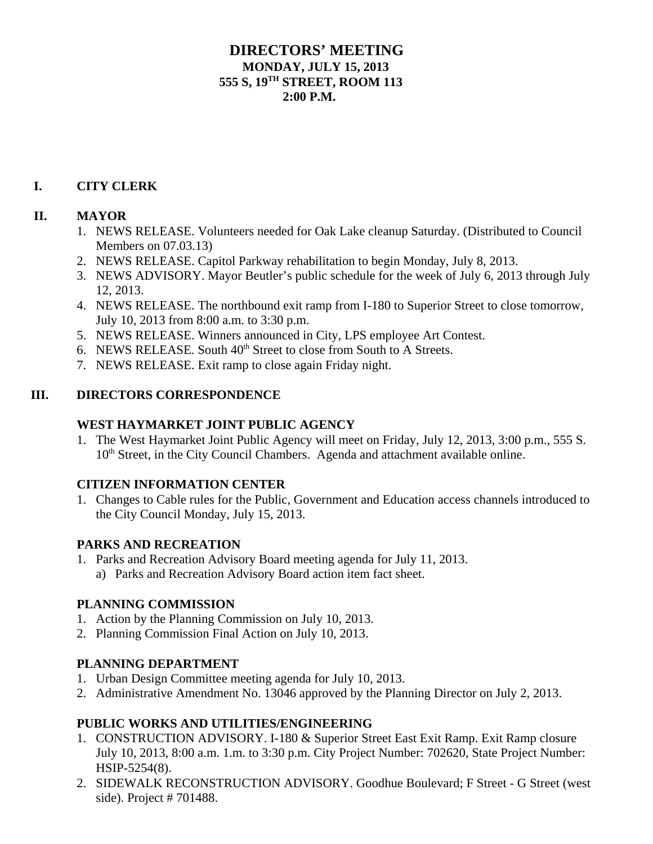# **DIRECTORS' MEETING MONDAY, JULY 15, 2013 555 S, 19TH STREET, ROOM 113**  $2:00 \text{ P M}$

### **I. CITY CLERK**

### **II. MAYOR**

- 1. NEWS RELEASE. Volunteers needed for Oak Lake cleanup Saturday. (Distributed to Council Members on 07.03.13)
- 2. NEWS RELEASE. Capitol Parkway rehabilitation to begin Monday, July 8, 2013.
- 3. NEWS ADVISORY. Mayor Beutler's public schedule for the week of July 6, 2013 through July 12, 2013.
- 4. NEWS RELEASE. The northbound exit ramp from I-180 to Superior Street to close tomorrow, July 10, 2013 from 8:00 a.m. to 3:30 p.m.
- 5. NEWS RELEASE. Winners announced in City, LPS employee Art Contest.
- 6. NEWS RELEASE. South  $40<sup>th</sup>$  Street to close from South to A Streets.
- 7. NEWS RELEASE. Exit ramp to close again Friday night.

### **III. DIRECTORS CORRESPONDENCE**

### **WEST HAYMARKET JOINT PUBLIC AGENCY**

1. The West Haymarket Joint Public Agency will meet on Friday, July 12, 2013, 3:00 p.m., 555 S. 10<sup>th</sup> Street, in the City Council Chambers. Agenda and attachment available online.

#### **CITIZEN INFORMATION CENTER**

1. Changes to Cable rules for the Public, Government and Education access channels introduced to the City Council Monday, July 15, 2013.

# **PARKS AND RECREATION**

1. Parks and Recreation Advisory Board meeting agenda for July 11, 2013. a) Parks and Recreation Advisory Board action item fact sheet.

#### **PLANNING COMMISSION**

- 1. Action by the Planning Commission on July 10, 2013.
- 2. Planning Commission Final Action on July 10, 2013.

#### **PLANNING DEPARTMENT**

- 1. Urban Design Committee meeting agenda for July 10, 2013.
- 2. Administrative Amendment No. 13046 approved by the Planning Director on July 2, 2013.

# **PUBLIC WORKS AND UTILITIES/ENGINEERING**

- 1. CONSTRUCTION ADVISORY. I-180 & Superior Street East Exit Ramp. Exit Ramp closure July 10, 2013, 8:00 a.m. 1.m. to 3:30 p.m. City Project Number: 702620, State Project Number: HSIP-5254(8).
- 2. SIDEWALK RECONSTRUCTION ADVISORY. Goodhue Boulevard; F Street G Street (west side). Project # 701488.